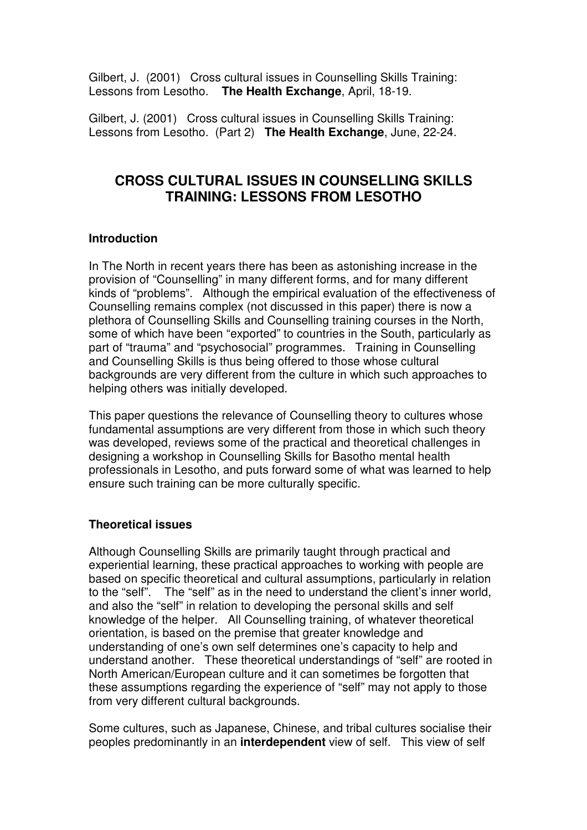Gilbert, J. (2001) Cross cultural issues in Counselling Skills Training: Lessons from Lesotho. **The Health Exchange**, April, 18-19.

Gilbert, J. (2001) Cross cultural issues in Counselling Skills Training: Lessons from Lesotho. (Part 2) **The Health Exchange**, June, 22-24.

# **CROSS CULTURAL ISSUES IN COUNSELLING SKILLS TRAINING: LESSONS FROM LESOTHO**

### **Introduction**

In The North in recent years there has been as astonishing increase in the provision of "Counselling" in many different forms, and for many different kinds of "problems". Although the empirical evaluation of the effectiveness of Counselling remains complex (not discussed in this paper) there is now a plethora of Counselling Skills and Counselling training courses in the North, some of which have been "exported" to countries in the South, particularly as part of "trauma" and "psychosocial" programmes. Training in Counselling and Counselling Skills is thus being offered to those whose cultural backgrounds are very different from the culture in which such approaches to helping others was initially developed.

This paper questions the relevance of Counselling theory to cultures whose fundamental assumptions are very different from those in which such theory was developed, reviews some of the practical and theoretical challenges in designing a workshop in Counselling Skills for Basotho mental health professionals in Lesotho, and puts forward some of what was learned to help ensure such training can be more culturally specific.

### **Theoretical issues**

Although Counselling Skills are primarily taught through practical and experiential learning, these practical approaches to working with people are based on specific theoretical and cultural assumptions, particularly in relation to the "self". The "self" as in the need to understand the client's inner world, and also the "self" in relation to developing the personal skills and self knowledge of the helper. All Counselling training, of whatever theoretical orientation, is based on the premise that greater knowledge and understanding of one's own self determines one's capacity to help and understand another. These theoretical understandings of "self" are rooted in North American/European culture and it can sometimes be forgotten that these assumptions regarding the experience of "self" may not apply to those from very different cultural backgrounds.

Some cultures, such as Japanese, Chinese, and tribal cultures socialise their peoples predominantly in an **interdependent** view of self. This view of self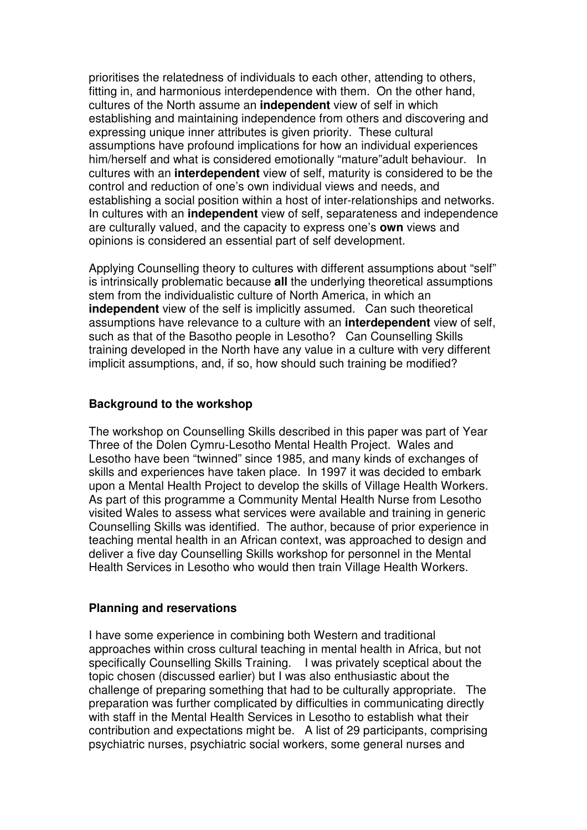prioritises the relatedness of individuals to each other, attending to others, fitting in, and harmonious interdependence with them. On the other hand, cultures of the North assume an **independent** view of self in which establishing and maintaining independence from others and discovering and expressing unique inner attributes is given priority. These cultural assumptions have profound implications for how an individual experiences him/herself and what is considered emotionally "mature"adult behaviour. In cultures with an **interdependent** view of self, maturity is considered to be the control and reduction of one's own individual views and needs, and establishing a social position within a host of inter-relationships and networks. In cultures with an **independent** view of self, separateness and independence are culturally valued, and the capacity to express one's **own** views and opinions is considered an essential part of self development.

Applying Counselling theory to cultures with different assumptions about "self" is intrinsically problematic because **all** the underlying theoretical assumptions stem from the individualistic culture of North America, in which an **independent** view of the self is implicitly assumed. Can such theoretical assumptions have relevance to a culture with an **interdependent** view of self, such as that of the Basotho people in Lesotho? Can Counselling Skills training developed in the North have any value in a culture with very different implicit assumptions, and, if so, how should such training be modified?

#### **Background to the workshop**

The workshop on Counselling Skills described in this paper was part of Year Three of the Dolen Cymru-Lesotho Mental Health Project. Wales and Lesotho have been "twinned" since 1985, and many kinds of exchanges of skills and experiences have taken place. In 1997 it was decided to embark upon a Mental Health Project to develop the skills of Village Health Workers. As part of this programme a Community Mental Health Nurse from Lesotho visited Wales to assess what services were available and training in generic Counselling Skills was identified. The author, because of prior experience in teaching mental health in an African context, was approached to design and deliver a five day Counselling Skills workshop for personnel in the Mental Health Services in Lesotho who would then train Village Health Workers.

#### **Planning and reservations**

I have some experience in combining both Western and traditional approaches within cross cultural teaching in mental health in Africa, but not specifically Counselling Skills Training. I was privately sceptical about the topic chosen (discussed earlier) but I was also enthusiastic about the challenge of preparing something that had to be culturally appropriate. The preparation was further complicated by difficulties in communicating directly with staff in the Mental Health Services in Lesotho to establish what their contribution and expectations might be. A list of 29 participants, comprising psychiatric nurses, psychiatric social workers, some general nurses and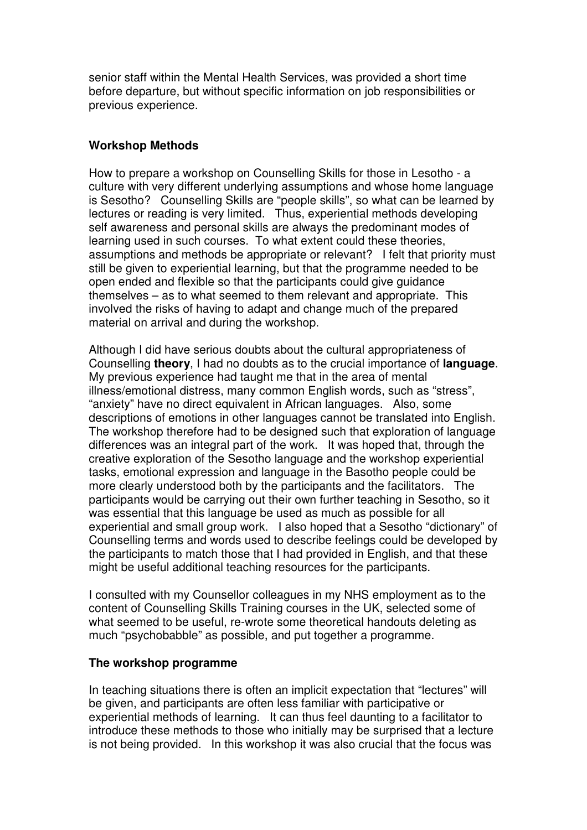senior staff within the Mental Health Services, was provided a short time before departure, but without specific information on job responsibilities or previous experience.

### **Workshop Methods**

How to prepare a workshop on Counselling Skills for those in Lesotho - a culture with very different underlying assumptions and whose home language is Sesotho? Counselling Skills are "people skills", so what can be learned by lectures or reading is very limited. Thus, experiential methods developing self awareness and personal skills are always the predominant modes of learning used in such courses. To what extent could these theories, assumptions and methods be appropriate or relevant? I felt that priority must still be given to experiential learning, but that the programme needed to be open ended and flexible so that the participants could give guidance themselves – as to what seemed to them relevant and appropriate. This involved the risks of having to adapt and change much of the prepared material on arrival and during the workshop.

Although I did have serious doubts about the cultural appropriateness of Counselling **theory**, I had no doubts as to the crucial importance of **language**. My previous experience had taught me that in the area of mental illness/emotional distress, many common English words, such as "stress", "anxiety" have no direct equivalent in African languages. Also, some descriptions of emotions in other languages cannot be translated into English. The workshop therefore had to be designed such that exploration of language differences was an integral part of the work. It was hoped that, through the creative exploration of the Sesotho language and the workshop experiential tasks, emotional expression and language in the Basotho people could be more clearly understood both by the participants and the facilitators. The participants would be carrying out their own further teaching in Sesotho, so it was essential that this language be used as much as possible for all experiential and small group work. I also hoped that a Sesotho "dictionary" of Counselling terms and words used to describe feelings could be developed by the participants to match those that I had provided in English, and that these might be useful additional teaching resources for the participants.

I consulted with my Counsellor colleagues in my NHS employment as to the content of Counselling Skills Training courses in the UK, selected some of what seemed to be useful, re-wrote some theoretical handouts deleting as much "psychobabble" as possible, and put together a programme.

#### **The workshop programme**

In teaching situations there is often an implicit expectation that "lectures" will be given, and participants are often less familiar with participative or experiential methods of learning. It can thus feel daunting to a facilitator to introduce these methods to those who initially may be surprised that a lecture is not being provided. In this workshop it was also crucial that the focus was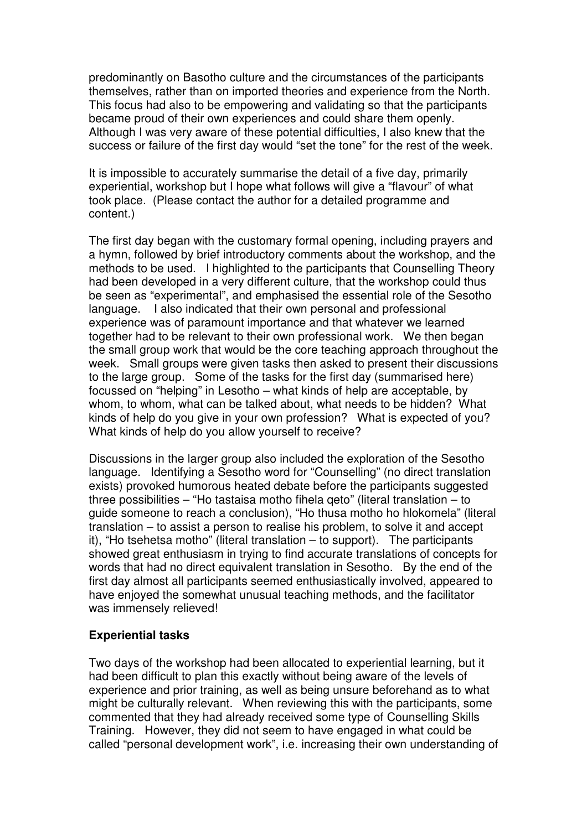predominantly on Basotho culture and the circumstances of the participants themselves, rather than on imported theories and experience from the North. This focus had also to be empowering and validating so that the participants became proud of their own experiences and could share them openly. Although I was very aware of these potential difficulties, I also knew that the success or failure of the first day would "set the tone" for the rest of the week.

It is impossible to accurately summarise the detail of a five day, primarily experiential, workshop but I hope what follows will give a "flavour" of what took place. (Please contact the author for a detailed programme and content.)

The first day began with the customary formal opening, including prayers and a hymn, followed by brief introductory comments about the workshop, and the methods to be used. I highlighted to the participants that Counselling Theory had been developed in a very different culture, that the workshop could thus be seen as "experimental", and emphasised the essential role of the Sesotho language. I also indicated that their own personal and professional experience was of paramount importance and that whatever we learned together had to be relevant to their own professional work. We then began the small group work that would be the core teaching approach throughout the week. Small groups were given tasks then asked to present their discussions to the large group. Some of the tasks for the first day (summarised here) focussed on "helping" in Lesotho – what kinds of help are acceptable, by whom, to whom, what can be talked about, what needs to be hidden? What kinds of help do you give in your own profession? What is expected of you? What kinds of help do you allow yourself to receive?

Discussions in the larger group also included the exploration of the Sesotho language. Identifying a Sesotho word for "Counselling" (no direct translation exists) provoked humorous heated debate before the participants suggested three possibilities – "Ho tastaisa motho fihela qeto" (literal translation – to guide someone to reach a conclusion), "Ho thusa motho ho hlokomela" (literal translation – to assist a person to realise his problem, to solve it and accept it), "Ho tsehetsa motho" (literal translation – to support). The participants showed great enthusiasm in trying to find accurate translations of concepts for words that had no direct equivalent translation in Sesotho. By the end of the first day almost all participants seemed enthusiastically involved, appeared to have enjoyed the somewhat unusual teaching methods, and the facilitator was immensely relieved!

### **Experiential tasks**

Two days of the workshop had been allocated to experiential learning, but it had been difficult to plan this exactly without being aware of the levels of experience and prior training, as well as being unsure beforehand as to what might be culturally relevant. When reviewing this with the participants, some commented that they had already received some type of Counselling Skills Training. However, they did not seem to have engaged in what could be called "personal development work", i.e. increasing their own understanding of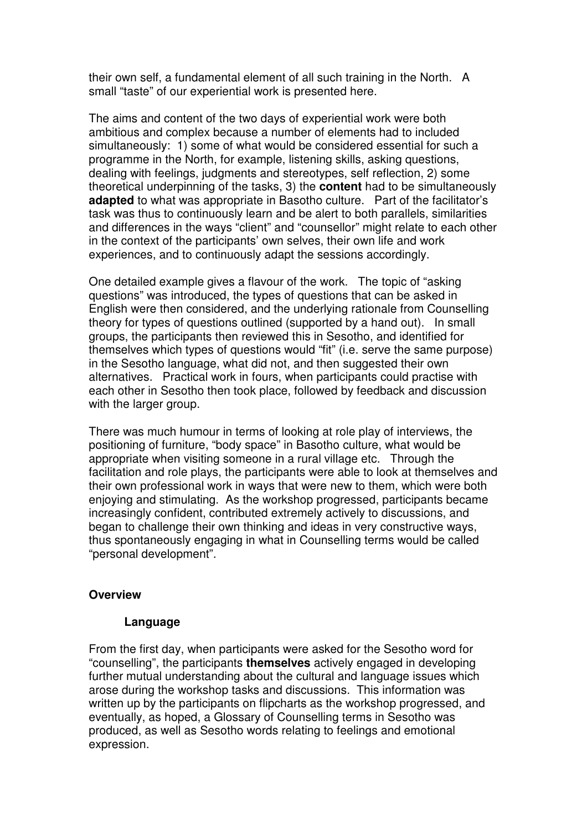their own self, a fundamental element of all such training in the North. A small "taste" of our experiential work is presented here.

The aims and content of the two days of experiential work were both ambitious and complex because a number of elements had to included simultaneously: 1) some of what would be considered essential for such a programme in the North, for example, listening skills, asking questions, dealing with feelings, judgments and stereotypes, self reflection, 2) some theoretical underpinning of the tasks, 3) the **content** had to be simultaneously **adapted** to what was appropriate in Basotho culture. Part of the facilitator's task was thus to continuously learn and be alert to both parallels, similarities and differences in the ways "client" and "counsellor" might relate to each other in the context of the participants' own selves, their own life and work experiences, and to continuously adapt the sessions accordingly.

One detailed example gives a flavour of the work. The topic of "asking questions" was introduced, the types of questions that can be asked in English were then considered, and the underlying rationale from Counselling theory for types of questions outlined (supported by a hand out). In small groups, the participants then reviewed this in Sesotho, and identified for themselves which types of questions would "fit" (i.e. serve the same purpose) in the Sesotho language, what did not, and then suggested their own alternatives. Practical work in fours, when participants could practise with each other in Sesotho then took place, followed by feedback and discussion with the larger group.

There was much humour in terms of looking at role play of interviews, the positioning of furniture, "body space" in Basotho culture, what would be appropriate when visiting someone in a rural village etc. Through the facilitation and role plays, the participants were able to look at themselves and their own professional work in ways that were new to them, which were both enjoying and stimulating. As the workshop progressed, participants became increasingly confident, contributed extremely actively to discussions, and began to challenge their own thinking and ideas in very constructive ways, thus spontaneously engaging in what in Counselling terms would be called "personal development".

### **Overview**

### **Language**

From the first day, when participants were asked for the Sesotho word for "counselling", the participants **themselves** actively engaged in developing further mutual understanding about the cultural and language issues which arose during the workshop tasks and discussions. This information was written up by the participants on flipcharts as the workshop progressed, and eventually, as hoped, a Glossary of Counselling terms in Sesotho was produced, as well as Sesotho words relating to feelings and emotional expression.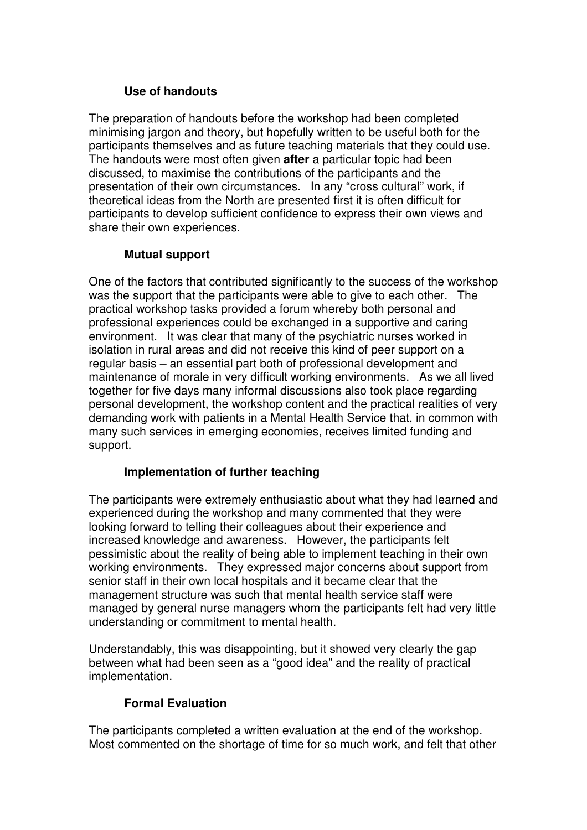## **Use of handouts**

The preparation of handouts before the workshop had been completed minimising jargon and theory, but hopefully written to be useful both for the participants themselves and as future teaching materials that they could use. The handouts were most often given **after** a particular topic had been discussed, to maximise the contributions of the participants and the presentation of their own circumstances. In any "cross cultural" work, if theoretical ideas from the North are presented first it is often difficult for participants to develop sufficient confidence to express their own views and share their own experiences.

# **Mutual support**

One of the factors that contributed significantly to the success of the workshop was the support that the participants were able to give to each other. The practical workshop tasks provided a forum whereby both personal and professional experiences could be exchanged in a supportive and caring environment. It was clear that many of the psychiatric nurses worked in isolation in rural areas and did not receive this kind of peer support on a regular basis – an essential part both of professional development and maintenance of morale in very difficult working environments. As we all lived together for five days many informal discussions also took place regarding personal development, the workshop content and the practical realities of very demanding work with patients in a Mental Health Service that, in common with many such services in emerging economies, receives limited funding and support.

### **Implementation of further teaching**

The participants were extremely enthusiastic about what they had learned and experienced during the workshop and many commented that they were looking forward to telling their colleagues about their experience and increased knowledge and awareness. However, the participants felt pessimistic about the reality of being able to implement teaching in their own working environments. They expressed major concerns about support from senior staff in their own local hospitals and it became clear that the management structure was such that mental health service staff were managed by general nurse managers whom the participants felt had very little understanding or commitment to mental health.

Understandably, this was disappointing, but it showed very clearly the gap between what had been seen as a "good idea" and the reality of practical implementation.

# **Formal Evaluation**

The participants completed a written evaluation at the end of the workshop. Most commented on the shortage of time for so much work, and felt that other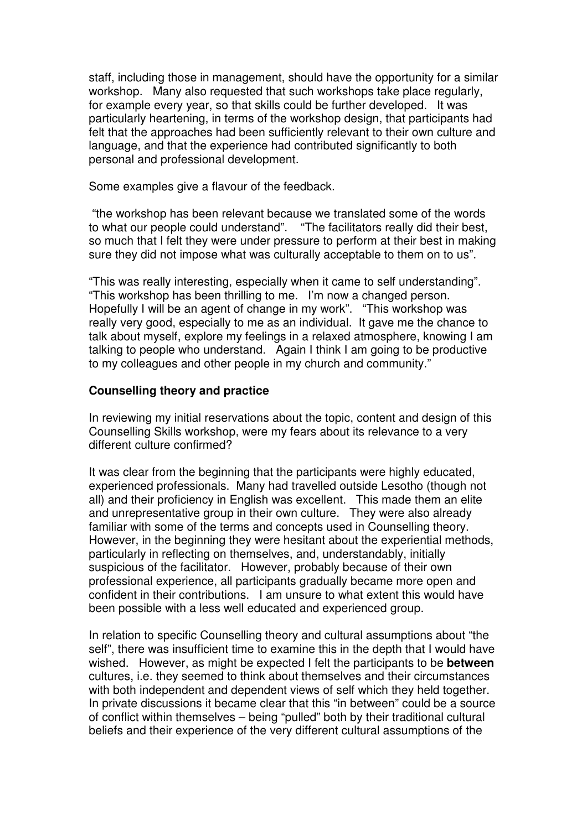staff, including those in management, should have the opportunity for a similar workshop. Many also requested that such workshops take place regularly, for example every year, so that skills could be further developed. It was particularly heartening, in terms of the workshop design, that participants had felt that the approaches had been sufficiently relevant to their own culture and language, and that the experience had contributed significantly to both personal and professional development.

Some examples give a flavour of the feedback.

"the workshop has been relevant because we translated some of the words to what our people could understand". "The facilitators really did their best, so much that I felt they were under pressure to perform at their best in making sure they did not impose what was culturally acceptable to them on to us".

"This was really interesting, especially when it came to self understanding". "This workshop has been thrilling to me. I'm now a changed person. Hopefully I will be an agent of change in my work". "This workshop was really very good, especially to me as an individual. It gave me the chance to talk about myself, explore my feelings in a relaxed atmosphere, knowing I am talking to people who understand. Again I think I am going to be productive to my colleagues and other people in my church and community."

### **Counselling theory and practice**

In reviewing my initial reservations about the topic, content and design of this Counselling Skills workshop, were my fears about its relevance to a very different culture confirmed?

It was clear from the beginning that the participants were highly educated, experienced professionals. Many had travelled outside Lesotho (though not all) and their proficiency in English was excellent. This made them an elite and unrepresentative group in their own culture. They were also already familiar with some of the terms and concepts used in Counselling theory. However, in the beginning they were hesitant about the experiential methods, particularly in reflecting on themselves, and, understandably, initially suspicious of the facilitator. However, probably because of their own professional experience, all participants gradually became more open and confident in their contributions. I am unsure to what extent this would have been possible with a less well educated and experienced group.

In relation to specific Counselling theory and cultural assumptions about "the self", there was insufficient time to examine this in the depth that I would have wished. However, as might be expected I felt the participants to be **between** cultures, i.e. they seemed to think about themselves and their circumstances with both independent and dependent views of self which they held together. In private discussions it became clear that this "in between" could be a source of conflict within themselves – being "pulled" both by their traditional cultural beliefs and their experience of the very different cultural assumptions of the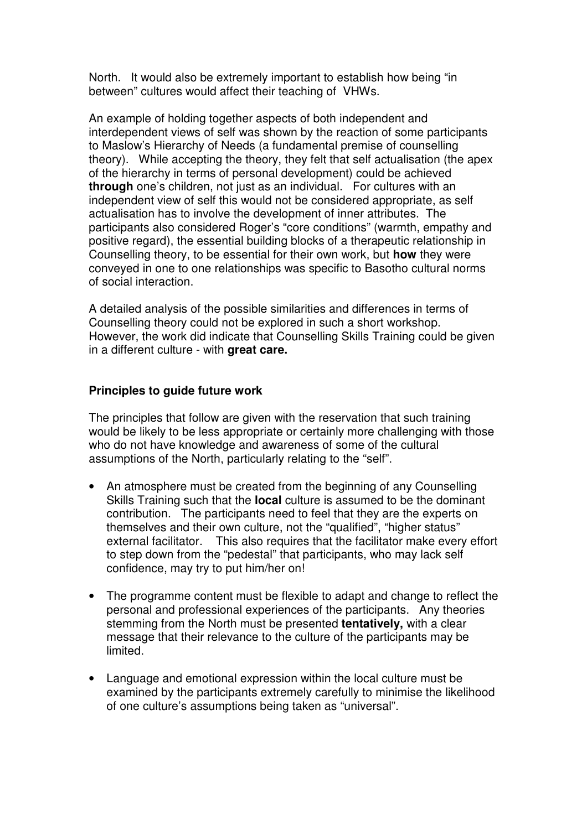North. It would also be extremely important to establish how being "in between" cultures would affect their teaching of VHWs.

An example of holding together aspects of both independent and interdependent views of self was shown by the reaction of some participants to Maslow's Hierarchy of Needs (a fundamental premise of counselling theory). While accepting the theory, they felt that self actualisation (the apex of the hierarchy in terms of personal development) could be achieved **through** one's children, not just as an individual. For cultures with an independent view of self this would not be considered appropriate, as self actualisation has to involve the development of inner attributes. The participants also considered Roger's "core conditions" (warmth, empathy and positive regard), the essential building blocks of a therapeutic relationship in Counselling theory, to be essential for their own work, but **how** they were conveyed in one to one relationships was specific to Basotho cultural norms of social interaction.

A detailed analysis of the possible similarities and differences in terms of Counselling theory could not be explored in such a short workshop. However, the work did indicate that Counselling Skills Training could be given in a different culture - with **great care.**

### **Principles to guide future work**

The principles that follow are given with the reservation that such training would be likely to be less appropriate or certainly more challenging with those who do not have knowledge and awareness of some of the cultural assumptions of the North, particularly relating to the "self".

- An atmosphere must be created from the beginning of any Counselling Skills Training such that the **local** culture is assumed to be the dominant contribution. The participants need to feel that they are the experts on themselves and their own culture, not the "qualified", "higher status" external facilitator. This also requires that the facilitator make every effort to step down from the "pedestal" that participants, who may lack self confidence, may try to put him/her on!
- The programme content must be flexible to adapt and change to reflect the personal and professional experiences of the participants. Any theories stemming from the North must be presented **tentatively,** with a clear message that their relevance to the culture of the participants may be limited.
- Language and emotional expression within the local culture must be examined by the participants extremely carefully to minimise the likelihood of one culture's assumptions being taken as "universal".